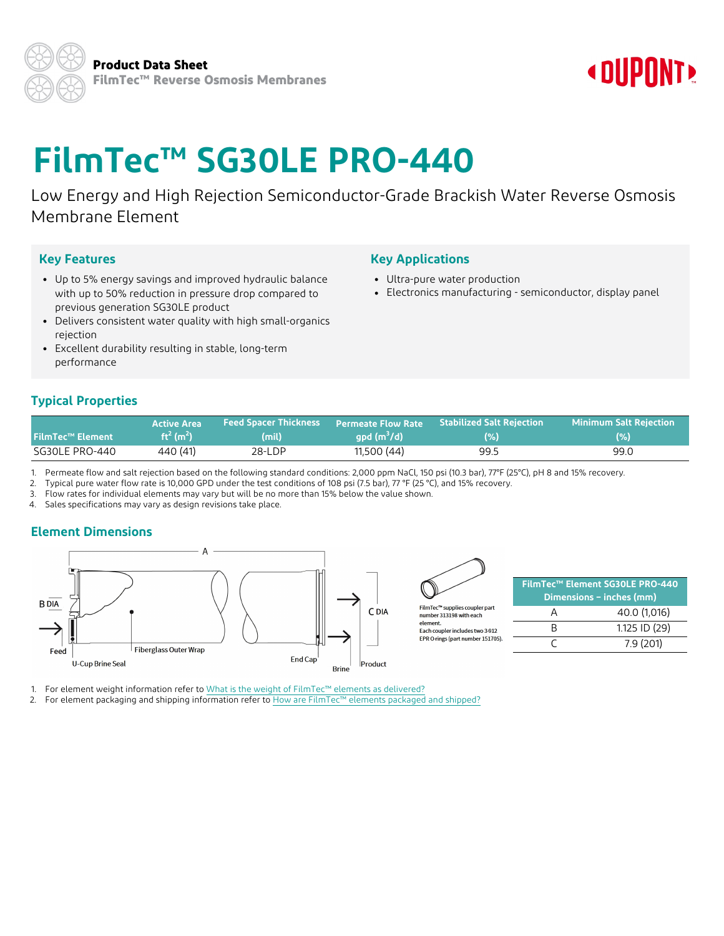## **« DUPONT»**

# **FilmTec™ SG30LE PRO-440**

Low Energy and High Rejection Semiconductor-Grade Brackish Water Reverse Osmosis Membrane Element

### **Key Features**

- Up to 5% energy savings and improved hydraulic balance with up to 50% reduction in pressure drop compared to previous generation SG30LE product
- Delivers consistent water quality with high small-organics rejection
- Excellent durability resulting in stable, long-term performance

## **Typical Properties**

| <b>FilmTec™ Element</b> | <b>Active Area</b>                | <b>Feed Spacer Thickness</b> | <b>Permeate Flow Rate</b> | <b>Stabilized Salt Rejection</b> | Minimum Salt Reiection |
|-------------------------|-----------------------------------|------------------------------|---------------------------|----------------------------------|------------------------|
|                         | ft <sup>2</sup> (m <sup>2</sup> ) | (mil)                        | $qpd(m^{3}/d)$            | (% )                             | (%)                    |
| SG30LE PRO-440          | 440 (41)                          | 28-LDP                       | 11,500 (44)               | 99.5                             | 99.0                   |

1. Permeate flow and salt rejection based on the following standard conditions: 2,000 ppm NaCl, 150 psi (10.3 bar), 77°F (25°C), pH 8 and 15% recovery.

2. Typical pure water flow rate is 10,000 GPD under the test conditions of 108 psi (7.5 bar), 77 °F (25 °C), and 15% recovery.

3. Flow rates for individual elements may vary but will be no more than 15% below the value shown.

4. Sales specifications may vary as design revisions take place.

## **Element Dimensions**





number 313198 with each element

Each coupler includes two 3-912 EPR O-rings (part number 151705)

| FilmTec™ Element SG30LE PRO-440<br>Dimensions - inches (mm) |               |  |
|-------------------------------------------------------------|---------------|--|
|                                                             | 40.0 (1,016)  |  |
|                                                             | 1.125 ID (29) |  |
|                                                             | 7.9(201)      |  |

1. For element weight information refer to What is the weight of FilmTec™ elements as [delivered?](https://www.dupont.com/resource-center.html?BU=water&shared-asset=FAQ-faq-ws-123)

2. For element packaging and shipping information refer to How are FilmTec™ elements [packaged](https://www.dupont.com/resource-center.html?BU=water&shared-asset=FAQ-faq-ws-381) and shipped?

## **Key Applications**

- Ultra-pure water production
- Electronics manufacturing semiconductor, display panel